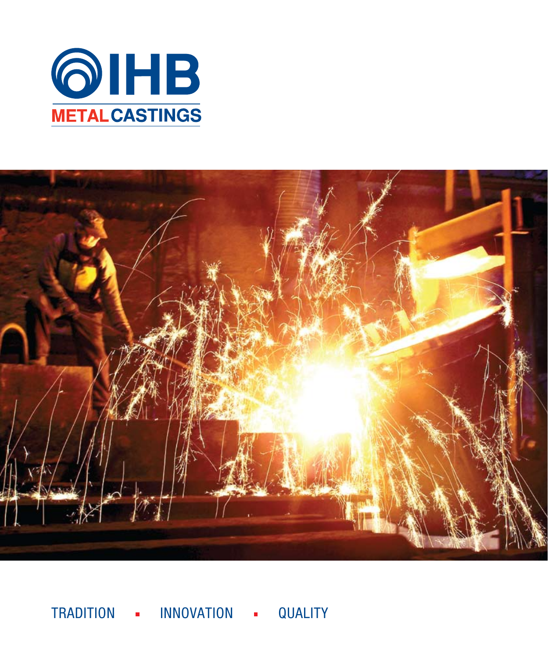



TRADITION - INNOVATION - QUALITY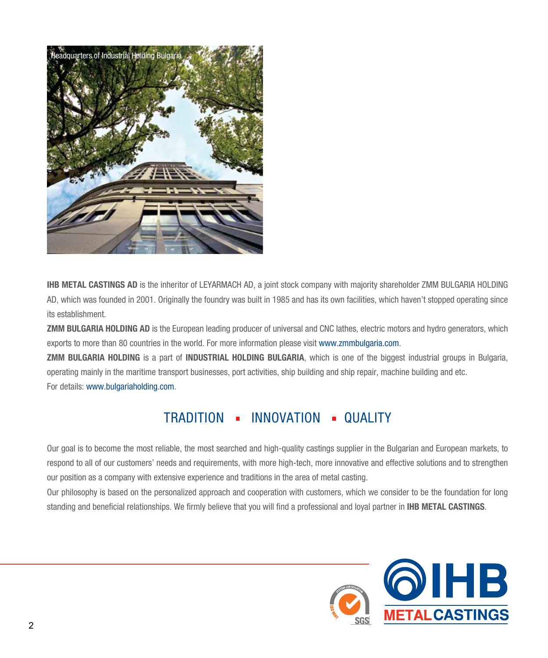

**IHB METAL CASTINGS AD** is the inheritor of LEYARMACH AD, a joint stock company with majority shareholder ZMM BULGARIA HOLDING AD, which was founded in 2001. Originally the foundry was built in 1985 and has its own facilities, which haven't stopped operating since its establishment.

**ZMM BULGARIA HOLDING AD** is the European leading producer of universal and CNC lathes, electric motors and hydro generators, which exports to more than 80 countries in the world. For more information please visit www.zmmbulgaria.com.

**ZMM BULGARIA HOLDING** is a part of **INDUSTRIAL HOLDING BULGARIA**, which is one of the biggest industrial groups in Bulgaria, operating mainly in the maritime transport businesses, port activities, ship building and ship repair, machine building and etc. For details: www.bulgariaholding.com.

### TRADITION - INNOVATION - QUALITY

Our goal is to become the most reliable, the most searched and high-quality castings supplier in the Bulgarian and European markets, to respond to all of our customers' needs and requirements, with more high-tech, more innovative and effective solutions and to strengthen our position as a company with extensive experience and traditions in the area of metal casting.

Our philosophy is based on the personalized approach and cooperation with customers, which we consider to be the foundation for long standing and beneficial relationships. We firmly believe that you will find a professional and loyal partner in **IHB METAL CASTINGS**.

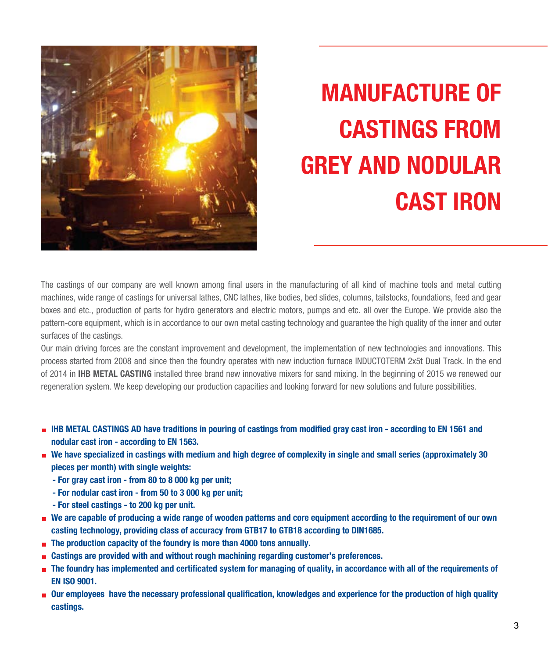

# **MANUFACTURE OF CASTINGS FROM GREY AND NODULAR CAST IRON**

The castings of our company are well known among final users in the manufacturing of all kind of machine tools and metal cutting machines, wide range of castings for universal lathes, CNC lathes, like bodies, bed slides, columns, tailstocks, foundations, feed and gear boxes and etc., production of parts for hydro generators and electric motors, pumps and etc. all over the Europe. We provide also the pattern-core equipment, which is in accordance to our own metal casting technology and guarantee the high quality of the inner and outer surfaces of the castings.

Our main driving forces are the constant improvement and development, the implementation of new technologies and innovations. This process started from 2008 and since then the foundry operates with new induction furnace INDUCTOTERM 2x5t Dual Track. In the end of 2014 in **IHB METAL CASTING** installed three brand new innovative mixers for sand mixing. In the beginning of 2015 we renewed our regeneration system. We keep developing our production capacities and looking forward for new solutions and future possibilities.

- **IHB METAL CASTINGS AD have traditions in pouring of castings from modified gray cast iron according to EN 1561 and nodular cast iron - according to EN 1563.**
- **We have specialized in castings with medium and high degree of complexity in single and small series (approximately 30 pieces per month) with single weights:**
	- **For gray cast iron from 80 to 8 000 kg per unit;**
	- **For nodular cast iron from 50 to 3 000 kg per unit;**
	- **For steel castings to 200 kg per unit.**
- **We are capable of producing a wide range of wooden patterns and core equipment according to the requirement of our own casting technology, providing class of accuracy from GTB17 to GTB18 according to DIN1685.**
- **The production capacity of the foundry is more than 4000 tons annually.**
- **Castings are provided with and without rough machining regarding customer's preferences.**
- **n** The foundry has implemented and certificated system for managing of quality, in accordance with all of the requirements of **EN ISO 9001.**
- **Our employees have the necessary professional qualification, knowledges and experience for the production of high quality castings.**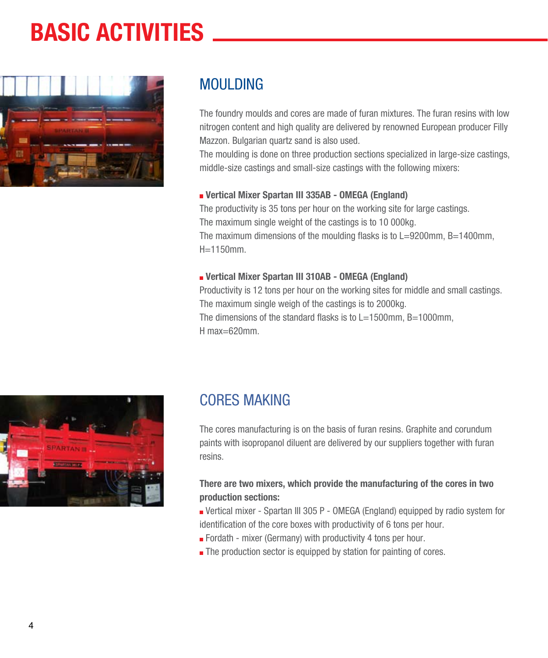## **BASIC ACTIVITIES**



### MOULDING

The foundry moulds and cores are made of furan mixtures. The furan resins with low nitrogen content and high quality are delivered by renowned European producer Filly Mazzon. Bulgarian quartz sand is also used.

The moulding is done on three production sections specialized in large-size castings, middle-size castings and small-size castings with the following mixers:

#### **Vertical Mixer Spartan III 335AB - OMEGA (England)**

The productivity is 35 tons per hour on the working site for large castings. The maximum single weight of the castings is to 10 000kg. The maximum dimensions of the moulding flasks is to L=9200mm, B=1400mm, H=1150mm.

#### **Vertical Mixer Spartan III 310AB - OMEGA (England)**

Productivity is 12 tons per hour on the working sites for middle and small castings. The maximum single weigh of the castings is to 2000kg. The dimensions of the standard flasks is to L=1500mm, B=1000mm, H max=620mm.



## CORES MAKING

The cores manufacturing is on the basis of furan resins. Graphite and corundum paints with isopropanol diluent are delivered by our suppliers together with furan resins.

#### **There are two mixers, which provide the manufacturing of the cores in two production sections:**

- Vertical mixer Spartan III 305 P OMEGA (England) equipped by radio system for identification of the core boxes with productivity of 6 tons per hour.
- Fordath mixer (Germany) with productivity 4 tons per hour.
- The production sector is equipped by station for painting of cores.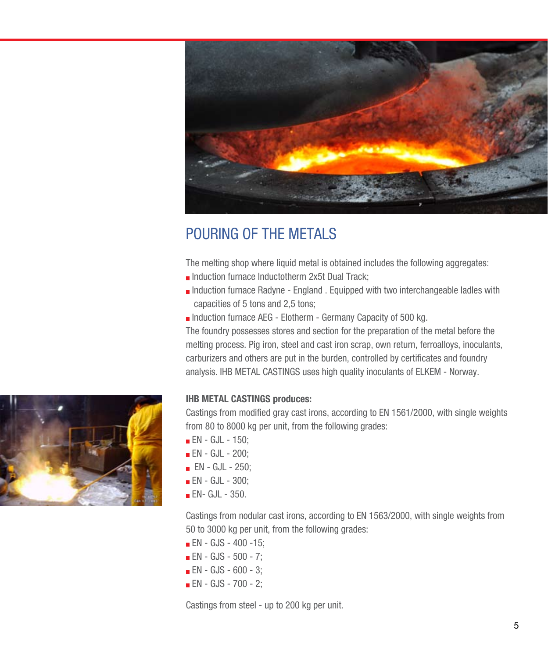

## POURING OF THE METALS

The melting shop where liquid metal is obtained includes the following aggregates:

- Induction furnace Inductotherm 2x5t Dual Track;
- $\blacksquare$  Induction furnace Radyne England . Equipped with two interchangeable ladles with capacities of 5 tons and 2,5 tons;
- Induction furnace AEG Elotherm Germany Capacity of 500 kg.

The foundry possesses stores and section for the preparation of the metal before the melting process. Pig iron, steel and cast iron scrap, own return, ferroalloys, inoculants, carburizers and others are put in the burden, controlled by certificates and foundry analysis. IHB METAL CASTINGS uses high quality inoculants of ELKEM - Norway.

#### **IHB METAL CASTINGS produces:**

Castings from modified gray cast irons, according to EN 1561/2000, with single weights from 80 to 8000 kg per unit, from the following grades:

- **EN** GJL 150;
- **EN** GJL 200;
- **EN** GJL 250:
- **EN** GJL 300;
- $\blacksquare$  EN- GJL 350.

Castings from nodular cast irons, according to EN 1563/2000, with single weights from 50 to 3000 kg per unit, from the following grades:

- **EN** GJS 400 -15;
- $\blacksquare$  EN GJS 500 7;
- **EN** GJS 600 3;
- **EN** GJS 700 2;

Castings from steel - up to 200 kg per unit.

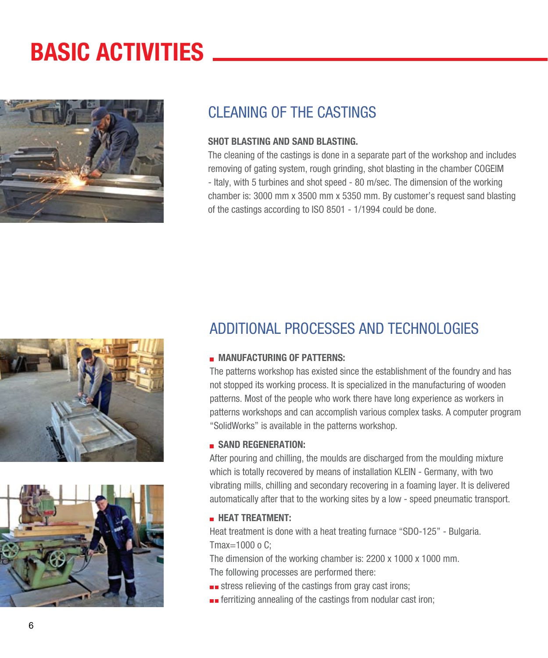## **BASIC ACTIVITIES**



### CLEANING OF THE CASTINGS

#### **SHOT BLASTING AND SAND BLASTING.**

The cleaning of the castings is done in a separate part of the workshop and includes removing of gating system, rough grinding, shot blasting in the chamber COGEIM - Italy, with 5 turbines and shot speed - 80 m/sec. The dimension of the working chamber is: 3000 mm x 3500 mm x 5350 mm. By customer's request sand blasting of the castings according to ISO 8501 - 1/1994 could be done.





## ADDITIONAL PROCESSES AND TECHNOLOGIES

#### **MANUFACTURING OF PATTERNS:**

The patterns workshop has existed since the establishment of the foundry and has not stopped its working process. It is specialized in the manufacturing of wooden patterns. Most of the people who work there have long experience as workers in patterns workshops and can accomplish various complex tasks. A computer program "SolidWorks" is available in the patterns workshop.

#### **B** SAND REGENERATION:

After pouring and chilling, the moulds are discharged from the moulding mixture which is totally recovered by means of installation KLEIN - Germany, with two vibrating mills, chilling and secondary recovering in a foaming layer. It is delivered automatically after that to the working sites by a low - speed pneumatic transport.

#### **EXPLOREMENT:**

Heat treatment is done with a heat treating furnace "SDO-125" - Bulgaria. Tmax=1000 o C;

The dimension of the working chamber is: 2200 x 1000 x 1000 mm. The following processes are performed there:

- **stress relieving of the castings from gray cast irons;**
- $\blacksquare$  ferritizing annealing of the castings from nodular cast iron;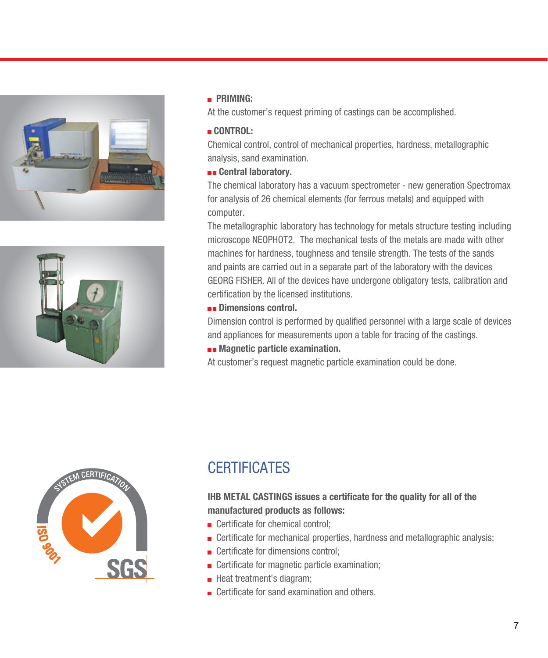



#### **PRIMING:**

At the customer's request priming of castings can be accomplished.

#### **CONTROL:**

Chemical control, control of mechanical properties, hardness, metallographic analysis, sand examination.

#### **Example 2** Central laboratory.

The chemical laboratory has a vacuum spectrometer - new generation Spectromax for analysis of 26 chemical elements (for ferrous metals) and equipped with computer.

The metallographic laboratory has technology for metals structure testing including microscope NEOPHOT2. The mechanical tests of the metals are made with other machines for hardness, toughness and tensile strength. The tests of the sands and paints are carried out in a separate part of the laboratory with the devices GEORG FISHER. All of the devices have undergone obligatory tests, calibration and certification by the licensed institutions.

#### **Dimensions control.**

Dimension control is performed by qualified personnel with a large scale of devices and appliances for measurements upon a table for tracing of the castings.

**Examination.** Magnetic particle examination.

At customer's request magnetic particle examination could be done.



## **CERTIFICATES**

#### **IHB METAL CASTINGS issues a certificate for the quality for all of the manufactured products as follows:**

- **Certificate for chemical control:**
- **EXECUTE:** Certificate for mechanical properties, hardness and metallographic analysis;
- **EXECUTE:** Certificate for dimensions control;
- **EXECUTE:** Certificate for magnetic particle examination;
- **Heat treatment's diagram;**
- **E** Certificate for sand examination and others.